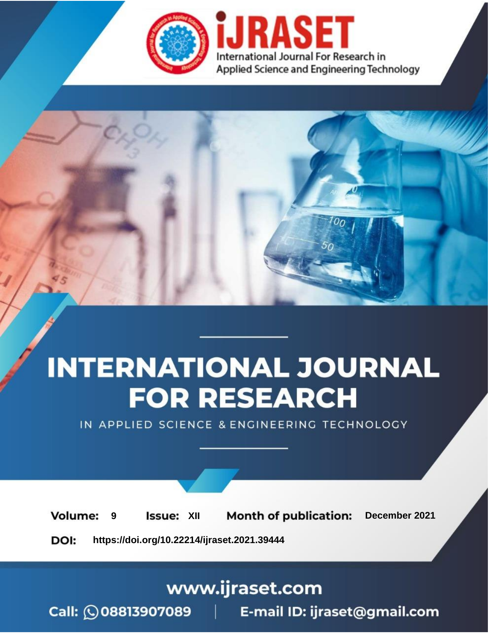

# **INTERNATIONAL JOURNAL FOR RESEARCH**

IN APPLIED SCIENCE & ENGINEERING TECHNOLOGY

**Month of publication: Volume: Issue: XII** December 2021 9 DOI: https://doi.org/10.22214/ijraset.2021.39444

www.ijraset.com

Call: 008813907089 | E-mail ID: ijraset@gmail.com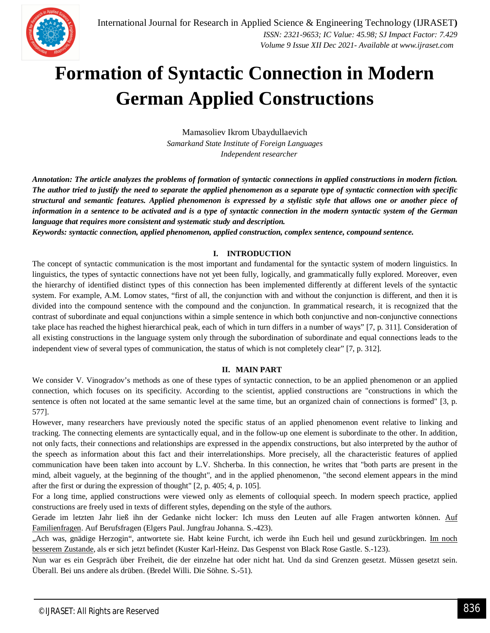

## **Formation of Syntactic Connection in Modern German Applied Constructions**

Mamasoliev Ikrom Ubaydullaevich *Samarkand State Institute of Foreign Languages Independent researcher*

*Annotation: The article analyzes the problems of formation of syntactic connections in applied constructions in modern fiction. The author tried to justify the need to separate the applied phenomenon as a separate type of syntactic connection with specific structural and semantic features. Applied phenomenon is expressed by a stylistic style that allows one or another piece of information in a sentence to be activated and is a type of syntactic connection in the modern syntactic system of the German language that requires more consistent and systematic study and description.*

*Keywords: syntactic connection, applied phenomenon, applied construction, complex sentence, compound sentence.*

## **I. INTRODUCTION**

The concept of syntactic communication is the most important and fundamental for the syntactic system of modern linguistics. In linguistics, the types of syntactic connections have not yet been fully, logically, and grammatically fully explored. Moreover, even the hierarchy of identified distinct types of this connection has been implemented differently at different levels of the syntactic system. For example, A.M. Lomov states, "first of all, the conjunction with and without the conjunction is different, and then it is divided into the compound sentence with the compound and the conjunction. In grammatical research, it is recognized that the contrast of subordinate and equal conjunctions within a simple sentence in which both conjunctive and non-conjunctive connections take place has reached the highest hierarchical peak, each of which in turn differs in a number of ways" [7, p. 311]. Consideration of all existing constructions in the language system only through the subordination of subordinate and equal connections leads to the independent view of several types of communication, the status of which is not completely clear" [7, p. 312].

## **II. MAIN PART**

We consider V. Vinogradov's methods as one of these types of syntactic connection, to be an applied phenomenon or an applied connection, which focuses on its specificity. According to the scientist, applied constructions are "constructions in which the sentence is often not located at the same semantic level at the same time, but an organized chain of connections is formed" [3, p. 577].

However, many researchers have previously noted the specific status of an applied phenomenon event relative to linking and tracking. The connecting elements are syntactically equal, and in the follow-up one element is subordinate to the other. In addition, not only facts, their connections and relationships are expressed in the appendix constructions, but also interpreted by the author of the speech as information about this fact and their interrelationships. More precisely, all the characteristic features of applied communication have been taken into account by L.V. Shcherba. In this connection, he writes that "both parts are present in the mind, albeit vaguely, at the beginning of the thought", and in the applied phenomenon, "the second element appears in the mind after the first or during the expression of thought" [2, p. 405; 4, p. 105].

For a long time, applied constructions were viewed only as elements of colloquial speech. In modern speech practice, applied constructions are freely used in texts of different styles, depending on the style of the authors.

Gerade im letzten Jahr ließ ihn der Gedanke nicht locker: Ich muss den Leuten auf alle Fragen antworten können. Auf Familienfragen. Auf Berufsfragen (Elgers Paul. Jungfrau Johanna. S.-423).

"Ach was, gnädige Herzogin", antwortete sie. Habt keine Furcht, ich werde ihn Euch heil und gesund zurückbringen. Im noch besserem Zustande, als er sich jetzt befindet (Kuster Karl-Heinz. Das Gespenst von Black Rose Gastle. S.-123).

Nun war es ein Gespräch über Freiheit, die der einzelne hat oder nicht hat. Und da sind Grenzen gesetzt. Müssen gesetzt sein. Überall. Bei uns andere als drüben. (Bredel Willi. Die Söhne. S.-51).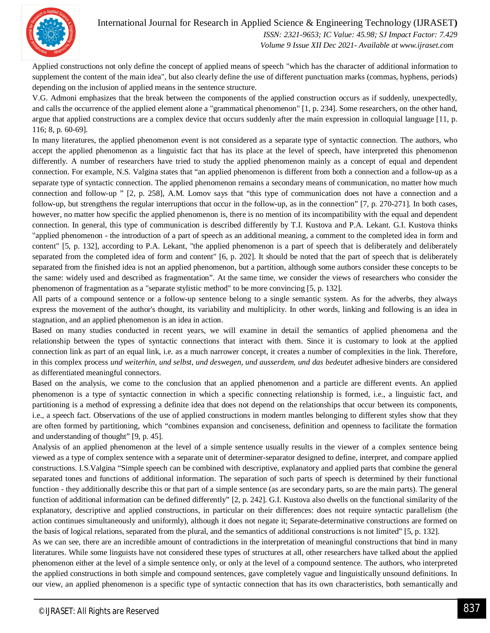

International Journal for Research in Applied Science & Engineering Technology (IJRASET**)**

 *ISSN: 2321-9653; IC Value: 45.98; SJ Impact Factor: 7.429 Volume 9 Issue XII Dec 2021- Available at www.ijraset.com*

Applied constructions not only define the concept of applied means of speech "which has the character of additional information to supplement the content of the main idea", but also clearly define the use of different punctuation marks (commas, hyphens, periods) depending on the inclusion of applied means in the sentence structure.

V.G. Admoni emphasizes that the break between the components of the applied construction occurs as if suddenly, unexpectedly, and calls the occurrence of the applied element alone a "grammatical phenomenon" [1, p. 234]. Some researchers, on the other hand, argue that applied constructions are a complex device that occurs suddenly after the main expression in colloquial language [11, p. 116; 8, p. 60-69].

In many literatures, the applied phenomenon event is not considered as a separate type of syntactic connection. The authors, who accept the applied phenomenon as a linguistic fact that has its place at the level of speech, have interpreted this phenomenon differently. A number of researchers have tried to study the applied phenomenon mainly as a concept of equal and dependent connection. For example, N.S. Valgina states that "an applied phenomenon is different from both a connection and a follow-up as a separate type of syntactic connection. The applied phenomenon remains a secondary means of communication, no matter how much connection and follow-up " [2, p. 258], A.M. Lomov says that "this type of communication does not have a connection and a follow-up, but strengthens the regular interruptions that occur in the follow-up, as in the connection" [7, p. 270-271]. In both cases, however, no matter how specific the applied phenomenon is, there is no mention of its incompatibility with the equal and dependent connection. In general, this type of communication is described differently by T.I. Kustova and P.A. Lekant. G.I. Kustova thinks "applied phenomenon - the introduction of a part of speech as an additional meaning, a comment to the completed idea in form and content" [5, p. 132], according to P.A. Lekant, "the applied phenomenon is a part of speech that is deliberately and deliberately separated from the completed idea of form and content" [6, p. 202]. It should be noted that the part of speech that is deliberately separated from the finished idea is not an applied phenomenon, but a partition, although some authors consider these concepts to be the same: widely used and described as fragmentation". At the same time, we consider the views of researchers who consider the phenomenon of fragmentation as a "separate stylistic method" to be more convincing [5, p. 132].

All parts of a compound sentence or a follow-up sentence belong to a single semantic system. As for the adverbs, they always express the movement of the author's thought, its variability and multiplicity. In other words, linking and following is an idea in stagnation, and an applied phenomenon is an idea in action.

Based on many studies conducted in recent years, we will examine in detail the semantics of applied phenomena and the relationship between the types of syntactic connections that interact with them. Since it is customary to look at the applied connection link as part of an equal link, i.e. as a much narrower concept, it creates a number of complexities in the link. Therefore, in this complex process *und weiterhin, und selbst, und deswegen, und ausserdem, und das bedeutet* adhesive binders are considered as differentiated meaningful connectors.

Based on the analysis, we come to the conclusion that an applied phenomenon and a particle are different events. An applied phenomenon is a type of syntactic connection in which a specific connecting relationship is formed, i.e., a linguistic fact, and partitioning is a method of expressing a definite idea that does not depend on the relationships that occur between its components, i.e., a speech fact. Observations of the use of applied constructions in modern mantles belonging to different styles show that they are often formed by partitioning, which "combines expansion and conciseness, definition and openness to facilitate the formation and understanding of thought" [9, p. 45].

Analysis of an applied phenomenon at the level of a simple sentence usually results in the viewer of a complex sentence being viewed as a type of complex sentence with a separate unit of determiner-separator designed to define, interpret, and compare applied constructions. I.S.Valgina "Simple speech can be combined with descriptive, explanatory and applied parts that combine the general separated tones and functions of additional information. The separation of such parts of speech is determined by their functional function - they additionally describe this or that part of a simple sentence (as are secondary parts, so are the main parts). The general function of additional information can be defined differently" [2, p. 242]. G.I. Kustova also dwells on the functional similarity of the explanatory, descriptive and applied constructions, in particular on their differences: does not require syntactic parallelism (the action continues simultaneously and uniformly), although it does not negate it; Separate-determinative constructions are formed on the basis of logical relations, separated from the plural, and the semantics of additional constructions is not limited" [5, p. 132].

As we can see, there are an incredible amount of contradictions in the interpretation of meaningful constructions that bind in many literatures. While some linguists have not considered these types of structures at all, other researchers have talked about the applied phenomenon either at the level of a simple sentence only, or only at the level of a compound sentence. The authors, who interpreted the applied constructions in both simple and compound sentences, gave completely vague and linguistically unsound definitions. In our view, an applied phenomenon is a specific type of syntactic connection that has its own characteristics, both semantically and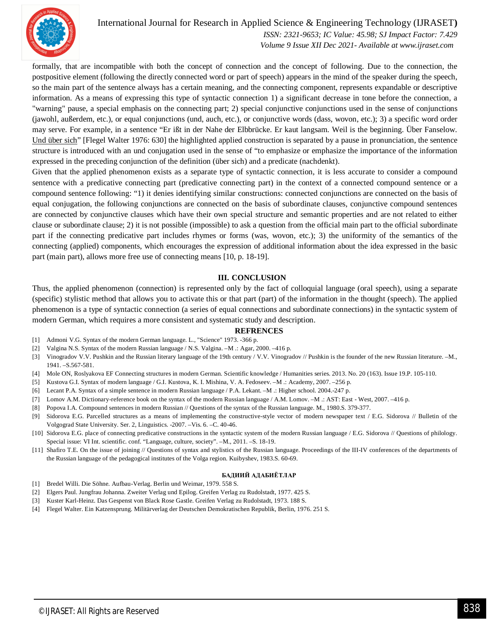

## International Journal for Research in Applied Science & Engineering Technology (IJRASET**)**

 *ISSN: 2321-9653; IC Value: 45.98; SJ Impact Factor: 7.429 Volume 9 Issue XII Dec 2021- Available at www.ijraset.com*

formally, that are incompatible with both the concept of connection and the concept of following. Due to the connection, the postpositive element (following the directly connected word or part of speech) appears in the mind of the speaker during the speech, so the main part of the sentence always has a certain meaning, and the connecting component, represents expandable or descriptive information. As a means of expressing this type of syntactic connection 1) a significant decrease in tone before the connection, a "warning" pause, a special emphasis on the connecting part; 2) special conjunctive conjunctions used in the sense of conjunctions (jawohl, außerdem, etc.), or equal conjunctions (und, auch, etc.), or conjunctive words (dass, wovon, etc.); 3) a specific word order may serve. For example, in a sentence "Er ißt in der Nahe der Elbbrücke. Er kaut langsam. Weil is the beginning. Über Fanselow. Und über sich" [Flegel Walter 1976: 630] the highlighted applied construction is separated by a pause in pronunciation, the sentence structure is introduced with an und conjugation used in the sense of "to emphasize or emphasize the importance of the information expressed in the preceding conjunction of the definition (über sich) and a predicate (nachdenkt).

Given that the applied phenomenon exists as a separate type of syntactic connection, it is less accurate to consider a compound sentence with a predicative connecting part (predicative connecting part) in the context of a connected compound sentence or a compound sentence following: "1) it denies identifying similar constructions: connected conjunctions are connected on the basis of equal conjugation, the following conjunctions are connected on the basis of subordinate clauses, conjunctive compound sentences are connected by conjunctive clauses which have their own special structure and semantic properties and are not related to either clause or subordinate clause; 2) it is not possible (impossible) to ask a question from the official main part to the official subordinate part if the connecting predicative part includes rhymes or forms (was, wovon, etc.); 3) the uniformity of the semantics of the connecting (applied) components, which encourages the expression of additional information about the idea expressed in the basic part (main part), allows more free use of connecting means [10, p. 18-19].

### **III. CONCLUSION**

Thus, the applied phenomenon (connection) is represented only by the fact of colloquial language (oral speech), using a separate (specific) stylistic method that allows you to activate this or that part (part) of the information in the thought (speech). The applied phenomenon is a type of syntactic connection (a series of equal connections and subordinate connections) in the syntactic system of modern German, which requires a more consistent and systematic study and description.

### **REFRENCES**

- [1] Admoni V.G. Syntax of the modern German language. L., "Science" 1973. -366 p.
- [2] Valgina N.S. Syntax of the modern Russian language / N.S. Valgina. –M .: Agar, 2000. –416 p.
- [3] Vinogradov V.V. Pushkin and the Russian literary language of the 19th century / V.V. Vinogradov // Pushkin is the founder of the new Russian literature. -M., 1941. –S.567-581.
- [4] Mole ON, Roslyakova EF Connecting structures in modern German. Scientific knowledge / Humanities series. 2013. No. 20 (163). Issue 19.P. 105-110.
- [5] Kustova G.I. Syntax of modern language / G.I. Kustova, K. I. Mishina, V. A. Fedoseev. –M .: Academy, 2007. –256 p.
- [6] Lecant P.A. Syntax of a simple sentence in modern Russian language / P.A. Lekant. –M .: Higher school. 2004.-247 p.
- [7] Lomov A.M. Dictionary-reference book on the syntax of the modern Russian language / A.M. Lomov. –M .: AST: East West, 2007. –416 p.
- [8] Popova I.A. Compound sentences in modern Russian // Questions of the syntax of the Russian language. M., 1980.S. 379-377.
- [9] Sidorova E.G. Parcelled structures as a means of implementing the constructive-style vector of modern newspaper text / E.G. Sidorova // Bulletin of the Volgograd State University. Ser. 2, Linguistics. -2007. –Vis. 6. –C. 40-46.
- [10] Sidorova E.G. place of connecting predicative constructions in the syntactic system of the modern Russian language / E.G. Sidorova // Questions of philology. Special issue: VI Int. scientific. conf. "Language, culture, society". –M., 2011. –S. 18-19.
- [11] Shafiro T.E. On the issue of joining // Questions of syntax and stylistics of the Russian language. Proceedings of the III-IV conferences of the departments of the Russian language of the pedagogical institutes of the Volga region. Kuibyshev, 1983.S. 60-69.

### **БАДИИЙ АДАБИЁТЛАР**

- [1] Bredel Willi. Die Söhne. Aufbau-Verlag. Berlin und Weimar, 1979. 558 S.
- [2] Elgers Paul. Jungfrau Johanna. Zweiter Verlag und Epilog. Greifen Verlag zu Rudolstadt, 1977. 425 S.
- [3] Kuster Karl-Heinz. Das Gespenst von Black Rose Gastle. Greifen Verlag zu Rudolstadt, 1973. 188 S.
- [4] Flegel Walter. Ein Katzensprung. Militärverlag der Deutschen Demokratischen Republik, Berlin, 1976. 251 S.